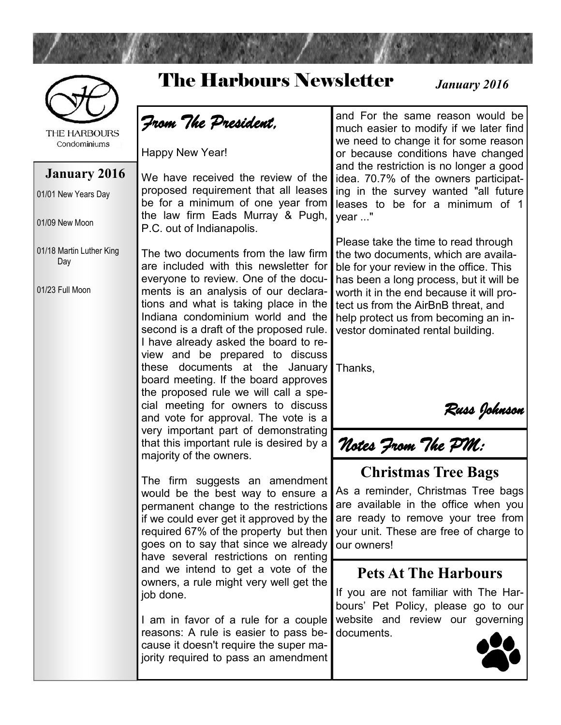



THE HARBOURS Condominiums

#### **January 2016**

01/01 New Years Day

01/09 New Moon

01/18 Martin Luther King Day

01/23 Full Moon

# The Harbours Newsletter

*January 2016*

*From The President,* 

Happy New Year!

We have received the review of the proposed requirement that all leases be for a minimum of one year from the law firm Eads Murray & Pugh, P.C. out of Indianapolis.

The two documents from the law firm are included with this newsletter for everyone to review. One of the documents is an analysis of our declarations and what is taking place in the Indiana condominium world and the second is a draft of the proposed rule. I have already asked the board to review and be prepared to discuss these documents at the January board meeting. If the board approves the proposed rule we will call a special meeting for owners to discuss and vote for approval. The vote is a very important part of demonstrating that this important rule is desired by a majority of the owners.

The firm suggests an amendment would be the best way to ensure a permanent change to the restrictions if we could ever get it approved by the required 67% of the property but then goes on to say that since we already have several restrictions on renting and we intend to get a vote of the owners, a rule might very well get the job done.

I am in favor of a rule for a couple reasons: A rule is easier to pass because it doesn't require the super majority required to pass an amendment

and For the same reason would be much easier to modify if we later find we need to change it for some reason or because conditions have changed and the restriction is no longer a good idea. 70.7% of the owners participating in the survey wanted "all future leases to be for a minimum of 1 year ..."

Please take the time to read through the two documents, which are available for your review in the office. This has been a long process, but it will be worth it in the end because it will protect us from the AirBnB threat, and help protect us from becoming an investor dominated rental building.

Thanks,

*Russ Johnson* 

|

*Notes From The PM:*

#### **Christmas Tree Bags**

As a reminder, Christmas Tree bags are available in the office when you are ready to remove your tree from your unit. These are free of charge to our owners!

#### **Pets At The Harbours**

If you are not familiar with The Harbours' Pet Policy, please go to our website and review our [governing](http://www.clipartpanda.com/categories/dog-paw-print-clip-art-free-download)  documents.

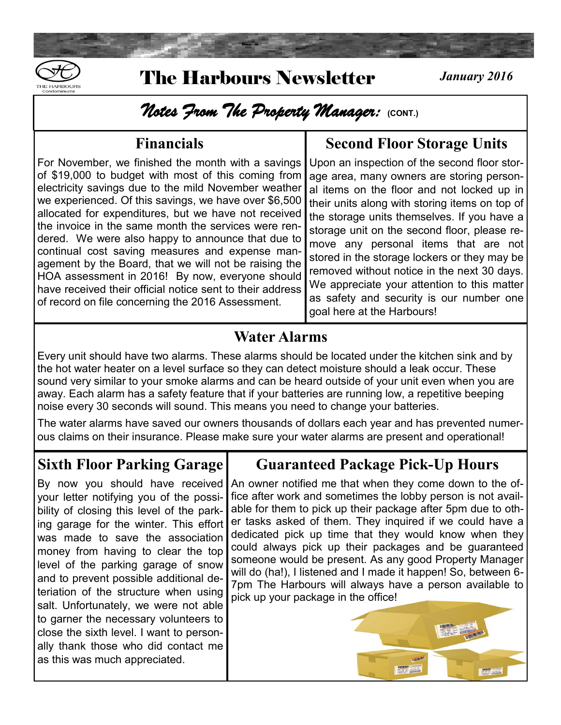

# *Notes From The Property Manager:* **(CONT.)**

### **Financials**

For November, we finished the month with a savings of \$19,000 to budget with most of this coming from electricity savings due to the mild November weather we experienced. Of this savings, we have over \$6,500 allocated for expenditures, but we have not received the invoice in the same month the services were rendered. We were also happy to announce that due to continual cost saving measures and expense management by the Board, that we will not be raising the HOA assessment in 2016! By now, everyone should have received their official notice sent to their address of record on file concerning the 2016 Assessment.

# **Second Floor Storage Units**

Upon an inspection of the second floor storage area, many owners are storing personal items on the floor and not locked up in their units along with storing items on top of the storage units themselves. If you have a storage unit on the second floor, please remove any personal items that are not stored in the storage lockers or they may be removed without notice in the next 30 days. We appreciate your attention to this matter as safety and security is our number one goal here at the Harbours!

# **Water Alarms**

Every unit should have two alarms. These alarms should be located under the kitchen sink and by the hot water heater on a level surface so they can detect moisture should a leak occur. These sound very similar to your smoke alarms and can be heard outside of your unit even when you are away. Each alarm has a safety feature that if your batteries are running low, a repetitive beeping noise every 30 seconds will sound. This means you need to change your batteries.

The water alarms have saved our owners thousands of dollars each year and has prevented numerous claims on their insurance. Please make sure your water alarms are present and operational!

# **Sixth Floor Parking Garage**

By now you should have received your letter notifying you of the possibility of closing this level of the parking garage for the winter. This effort was made to save the association money from having to clear the top level of the parking garage of snow and to prevent possible additional deteriation of the structure when using salt. Unfortunately, we were not able to garner the necessary volunteers to close the sixth level. I want to personally thank those who did contact me as this was much appreciated.

# **Guaranteed Package Pick-Up Hours**

An owner notified me that when they come down to the office after work and sometimes the lobby person is not available for them to pick up their package after 5pm due to other tasks asked of them. They inquired if we could have a dedicated pick up time that they would know when they could always pick up their packages and be guaranteed someone would be present. As any good Property Manager will do (ha!), I listened and I made it happen! So, between 6- 7pm The Harbours will always have a person available to pick up your package in [the office!](http://www.google.com/url?sa=i&rct=j&q=&esrc=s&source=images&cd=&cad=rja&uact=8&ved=0ahUKEwijhqDwhpjKAhVEej4KHaxaAbsQjRwIBw&url=http%3A%2F%2Fwww2.siena.edu%2Fpages%2F6167.asp&bvm=bv.110151844,d.cWw&psig=AFQjCNFDB8mRcuPj8BLqV0ya-bEruUmucQ&ust=145226814302) 

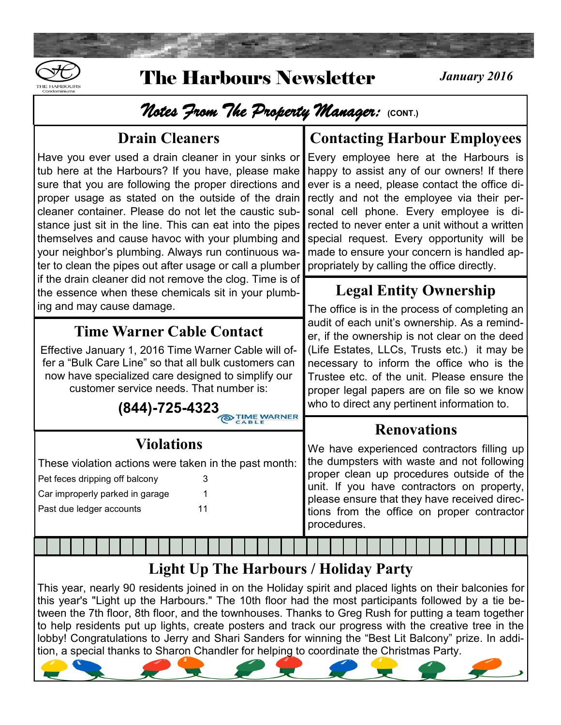

#### *Notes From The Property Manager:* **(CONT.)** **Contacting Harbour Employees** Every employee here at the Harbours is happy to assist any of our owners! If there ever is a need, please contact the office directly and not the employee via their personal cell phone. Every employee is directed to never enter a unit without a written special request. Every opportunity will be made to ensure your concern is handled appropriately by calling the office directly. **Legal Entity Ownership** The office is in the process of completing an audit of each unit's ownership. As a reminder, if the ownership is not clear on the deed (Life Estates, LLCs, Trusts etc.) it may be necessary to inform the office who is the Trustee etc. of the unit. Please ensure the proper legal papers are on file so we know who to direct any pertinent information to. **Drain Cleaners** Have you ever used a drain cleaner in your sinks or tub here at the Harbours? If you have, please make sure that you are following the proper directions and proper usage as stated on the outside of the drain cleaner container. Please do not let the caustic substance just sit in the line. This can eat into the pipes themselves and cause havoc with your plumbing and your neighbor's plumbing. Always run continuous water to clean the pipes out after usage or call a plumber if the drain cleaner did not remove the clog. Time is of the essence when these chemicals sit in your plumbing and may cause damage. **Time Warner Cable Contact** Effective January 1, 2016 Time Warner Cable will offer a "Bulk Care Line" so that all bulk customers can now have specialized care designed to simplify our customer service needs. That number is: **(844)-725-432[3](http://www.google.com/url?sa=i&rct=j&q=&esrc=s&source=images&cd=&cad=rja&uact=8&ved=0ahUKEwiN9o7FipjKAhXFjz4KHT9aBLkQjRwIBw&url=http%3A%2F%2Fwww.vintagemagnet.net%2Fthank-you.html&psig=AFQjCNGW4f393rH6JgfsBI3c4KaExSlvRw&ust=1452269199429686)  Violations** These violation actions were taken in the past month: Pet feces dripping off balcony 3 Car improperly parked in garage 1 Past due ledger accounts 11 **Renovations** We have experienced contractors filling up the dumpsters with waste and not following proper clean up procedures outside of the unit. If you have contractors on property, please ensure that they have received directions from the office on proper contractor procedures.

#### **Light Up The Harbours / Holiday Party**

This year, nearly 90 residents joined in on the Holiday spirit and placed lights on their balconies for this year's "Light up the Harbours." The 10th floor had the most participants followed by a tie between the 7th floor, 8th floor, and the townhouses. Thanks to Greg Rush for putting a team together to help residents put up lights, create posters and track our progress with the creative tree in the lobby! Congratulations to Jerry and Shari Sanders for winning the "Best Lit Balcony" prize. In addi[tion, a special thanks to Sharon Chandler for helping to coordinate the Christmas Party.](http://www.clipartpanda.com/categories/string-of-christmas-lights-clipart)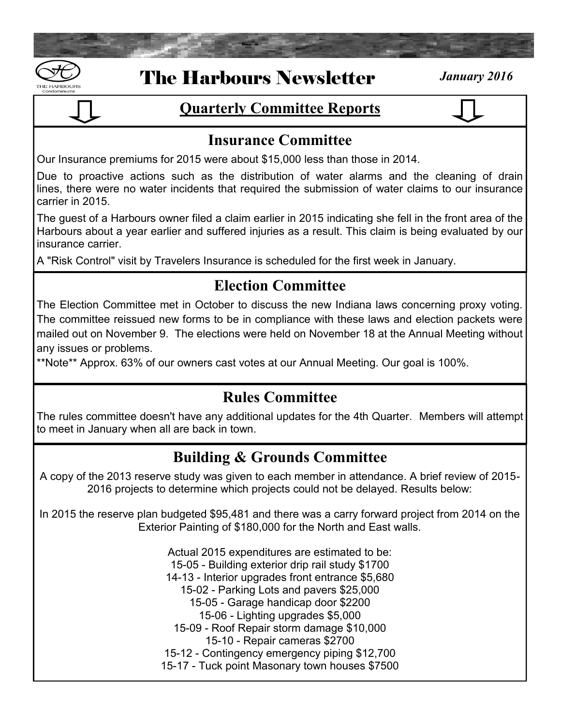



#### **Quarterly Committee Reports**



#### **Insurance Committee**

Our Insurance premiums for 2015 were about \$15,000 less than those in 2014.

Due to proactive actions such as the distribution of water alarms and the cleaning of drain lines, there were no water incidents that required the submission of water claims to our insurance carrier in 2015.

The guest of a Harbours owner filed a claim earlier in 2015 indicating she fell in the front area of the Harbours about a year earlier and suffered injuries as a result. This claim is being evaluated by our insurance carrier.

A "Risk Control" visit by Travelers Insurance is scheduled for the first week in January.

# **Election Committee**

The Election Committee met in October to discuss the new Indiana laws concerning proxy voting. The committee reissued new forms to be in compliance with these laws and election packets were mailed out on November 9. The elections were held on November 18 at the Annual Meeting without any issues or problems.

\*\*Note\*\* Approx. 63% of our owners cast votes at our Annual Meeting. Our goal is 100%.

# **Rules Committee**

The rules committee doesn't have any additional updates for the 4th Quarter. Members will attempt to meet in January when all are back in town.

# **Building & Grounds Committee**

A copy of the 2013 reserve study was given to each member in attendance. A brief review of 2015- 2016 projects to determine which projects could not be delayed. Results below:

In 2015 the reserve plan budgeted \$95,481 and there was a carry forward project from 2014 on the Exterior Painting of \$180,000 for the North and East walls.

> Actual 2015 expenditures are estimated to be: -05 - Building exterior drip rail study \$1700 -13 - Interior upgrades front entrance \$5,680 -02 - Parking Lots and pavers \$25,000 -05 - Garage handicap door \$2200 -06 - Lighting upgrades \$5,000 -09 - Roof Repair storm damage \$10,000 -10 - Repair cameras \$2700 -12 - Contingency emergency piping \$12,700 -17 - Tuck point Masonary town houses \$7500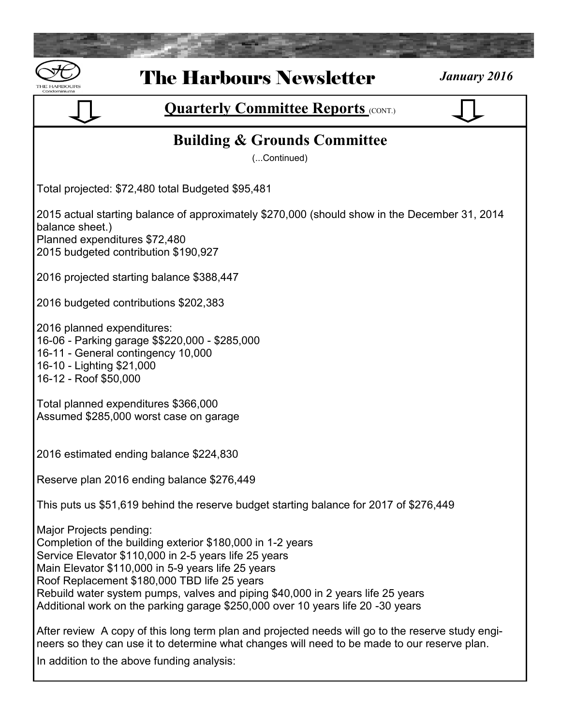| <b>The Harbours Newsletter</b><br>January 2016<br>Condominiums                                                                                                                                                                                                                                                                                                                                                             |
|----------------------------------------------------------------------------------------------------------------------------------------------------------------------------------------------------------------------------------------------------------------------------------------------------------------------------------------------------------------------------------------------------------------------------|
| <b>Quarterly Committee Reports (CONT.)</b>                                                                                                                                                                                                                                                                                                                                                                                 |
| <b>Building &amp; Grounds Committee</b><br>(Continued)                                                                                                                                                                                                                                                                                                                                                                     |
| Total projected: \$72,480 total Budgeted \$95,481                                                                                                                                                                                                                                                                                                                                                                          |
| 2015 actual starting balance of approximately \$270,000 (should show in the December 31, 2014<br>balance sheet.)<br>Planned expenditures \$72,480<br>2015 budgeted contribution \$190,927                                                                                                                                                                                                                                  |
| 2016 projected starting balance \$388,447                                                                                                                                                                                                                                                                                                                                                                                  |
| 2016 budgeted contributions \$202,383                                                                                                                                                                                                                                                                                                                                                                                      |
| 2016 planned expenditures:<br>16-06 - Parking garage \$\$220,000 - \$285,000<br>16-11 - General contingency 10,000<br>16-10 - Lighting \$21,000<br>16-12 - Roof \$50,000                                                                                                                                                                                                                                                   |
| Total planned expenditures \$366,000<br>Assumed \$285,000 worst case on garage                                                                                                                                                                                                                                                                                                                                             |
| 2016 estimated ending balance \$224,830                                                                                                                                                                                                                                                                                                                                                                                    |
| Reserve plan 2016 ending balance \$276,449                                                                                                                                                                                                                                                                                                                                                                                 |
| This puts us \$51,619 behind the reserve budget starting balance for 2017 of \$276,449                                                                                                                                                                                                                                                                                                                                     |
| Major Projects pending:<br>Completion of the building exterior \$180,000 in 1-2 years<br>Service Elevator \$110,000 in 2-5 years life 25 years<br>Main Elevator \$110,000 in 5-9 years life 25 years<br>Roof Replacement \$180,000 TBD life 25 years<br>Rebuild water system pumps, valves and piping \$40,000 in 2 years life 25 years<br>Additional work on the parking garage \$250,000 over 10 years life 20 -30 years |
| After review A copy of this long term plan and projected needs will go to the reserve study engi-<br>neers so they can use it to determine what changes will need to be made to our reserve plan.<br>In addition to the above funding analysis:                                                                                                                                                                            |